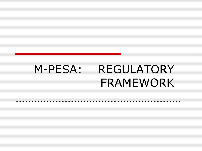## M-PESA: REGULATORY FRAMEWORK

……………………………………………………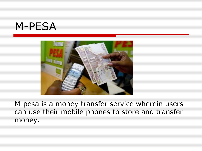#### M-PESA



M-pesa is a money transfer service wherein users can use their mobile phones to store and transfer money.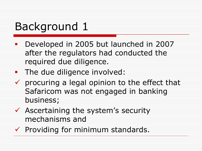## Background 1

- Developed in 2005 but launched in 2007 after the regulators had conducted the required due diligence.
- **The due diligence involved:**
- $\checkmark$  procuring a legal opinion to the effect that Safaricom was not engaged in banking business;
- $\checkmark$  Ascertaining the system's security mechanisms and
- $\checkmark$  Providing for minimum standards.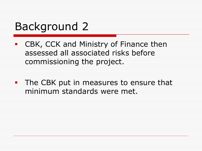### Background 2

- CBK, CCK and Ministry of Finance then assessed all associated risks before commissioning the project.
- **The CBK put in measures to ensure that** minimum standards were met.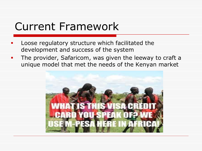### Current Framework

- Loose regulatory structure which facilitated the development and success of the system
- **The provider, Safaricom, was given the leeway to craft a** unique model that met the needs of the Kenyan market

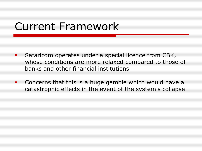### Current Framework

- **Safaricom operates under a special licence from CBK,** whose conditions are more relaxed compared to those of banks and other financial institutions
- **Concerns that this is a huge gamble which would have a** catastrophic effects in the event of the system's collapse.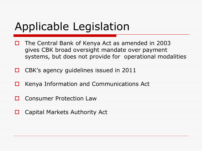## Applicable Legislation

- $\Box$  The Central Bank of Kenya Act as amended in 2003 gives CBK broad oversight mandate over payment systems, but does not provide for operational modalities
- □ CBK's agency guidelines issued in 2011
- $\Box$  Kenya Information and Communications Act
- **O** Consumer Protection Law
- $\Box$  Capital Markets Authority Act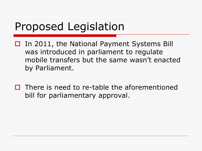### Proposed Legislation

- $\Box$  In 2011, the National Payment Systems Bill was introduced in parliament to regulate mobile transfers but the same wasn't enacted by Parliament.
- $\Box$  There is need to re-table the aforementioned bill for parliamentary approval.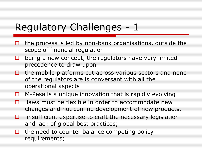#### Regulatory Challenges - 1

- $\Box$  the process is led by non-bank organisations, outside the scope of financial regulation
- $\Box$  being a new concept, the regulators have very limited precedence to draw upon
- $\Box$  the mobile platforms cut across various sectors and none of the regulators are is conversant with all the operational aspects
- $\Box$  M-Pesa is a unique innovation that is rapidly evolving
- $\Box$  laws must be flexible in order to accommodate new changes and not confine development of new products.
- $\Box$  insufficient expertise to craft the necessary legislation and lack of global best practices;
- $\Box$  the need to counter balance competing policy requirements;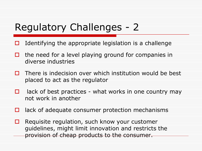#### Regulatory Challenges - 2

- $\Box$  Identifying the appropriate legislation is a challenge
- $\Box$  the need for a level playing ground for companies in diverse industries
- $\Box$  There is indecision over which institution would be best placed to act as the regulator
- $\Box$  lack of best practices what works in one country may not work in another
- $\Box$  lack of adequate consumer protection mechanisms
- $\Box$  Requisite regulation, such know your customer guidelines, might limit innovation and restricts the provision of cheap products to the consumer.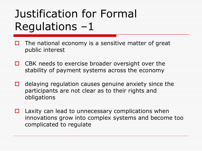# Justification for Formal Regulations –1

- $\Box$  The national economy is a sensitive matter of great public interest
- $\Box$  CBK needs to exercise broader oversight over the stability of payment systems across the economy
- $\Box$  delaying regulation causes genuine anxiety since the participants are not clear as to their rights and obligations
- $\Box$  Laxity can lead to unnecessary complications when innovations grow into complex systems and become too complicated to regulate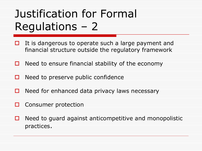# Justification for Formal Regulations – 2

- $\Box$  It is dangerous to operate such a large payment and financial structure outside the regulatory framework
- $\Box$  Need to ensure financial stability of the economy
- $\Box$  Need to preserve public confidence
- $\Box$  Need for enhanced data privacy laws necessary
- $\Box$  Consumer protection
- $\Box$  Need to guard against anticompetitive and monopolistic practices.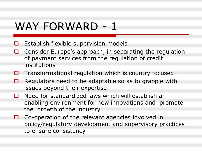### WAY FORWARD - 1

- $\Box$  Establish flexible supervision models
- **Q** Consider Europe's approach, in separating the regulation of payment services from the regulation of credit institutions
- $\Box$  Transformational regulation which is country focused
- $\Box$  Regulators need to be adaptable so as to grapple with issues beyond their expertise
- $\Box$  Need for standardized laws which will establish an enabling environment for new innovations and promote the growth of the industry
- $\Box$  Co-operation of the relevant agencies involved in policy/regulatory development and supervisory practices to ensure consistency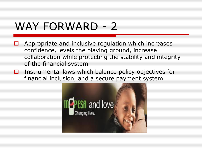### WAY FORWARD - 2

- $\Box$  Appropriate and inclusive regulation which increases confidence, levels the playing ground, increase collaboration while protecting the stability and integrity of the financial system
- $\Box$  Instrumental laws which balance policy objectives for financial inclusion, and a secure payment system.